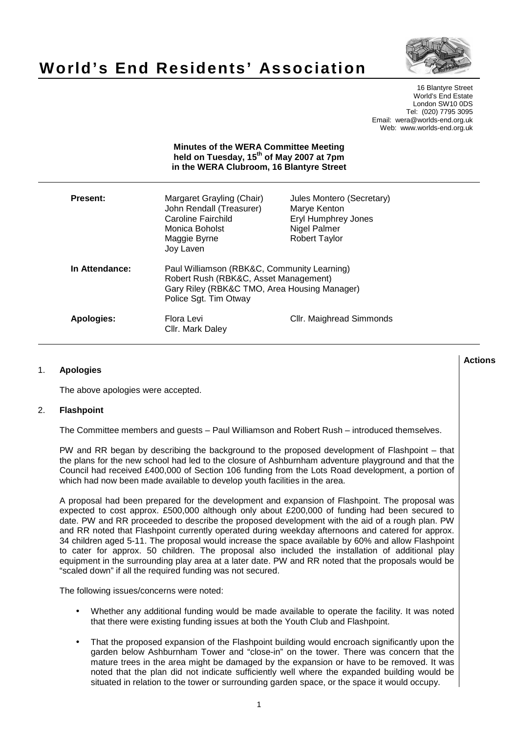

# **World's End Residents' Association**

16 Blantyre Street World's End Estate London SW10 0DS Tel: (020) 7795 3095 Email: wera@worlds-end.org.uk Web: www.worlds-end.org.uk

|                 | <b>Minutes of the WERA Committee Meeting</b><br>held on Tuesday, 15 <sup>th</sup> of May 2007 at 7pm<br>in the WERA Clubroom, 16 Blantyre Street              |                                                                                                          |
|-----------------|---------------------------------------------------------------------------------------------------------------------------------------------------------------|----------------------------------------------------------------------------------------------------------|
| <b>Present:</b> | Margaret Grayling (Chair)<br>John Rendall (Treasurer)<br>Caroline Fairchild<br>Monica Boholst<br>Maggie Byrne<br>Joy Laven                                    | Jules Montero (Secretary)<br>Marye Kenton<br>Eryl Humphrey Jones<br>Nigel Palmer<br><b>Robert Taylor</b> |
| In Attendance:  | Paul Williamson (RBK&C, Community Learning)<br>Robert Rush (RBK&C, Asset Management)<br>Gary Riley (RBK&C TMO, Area Housing Manager)<br>Police Sgt. Tim Otway |                                                                                                          |
| Apologies:      | Flora Levi<br>Cllr. Mark Daley                                                                                                                                | Cllr. Maighread Simmonds                                                                                 |

### **Lactions のことには、このことにより、このことにより、このことになります。 そのことには、このことにより、このことにより、このことになります。 そのことには、このことにより、このことには、このことにより、このことにより、このことにより、このことにより、このことにより、このことにより、このことにより、このことにより、このことにより、このことにより、このことにより、このことにより、このことにより、このことによっていることになっ** 1. **Apologies**

The above apologies were accepted.

## 2. **Flashpoint**

The Committee members and guests – Paul Williamson and Robert Rush – introduced themselves.

PW and RR began by describing the background to the proposed development of Flashpoint – that the plans for the new school had led to the closure of Ashburnham adventure playground and that the Council had received £400,000 of Section 106 funding from the Lots Road development, a portion of which had now been made available to develop youth facilities in the area.

A proposal had been prepared for the development and expansion of Flashpoint. The proposal was expected to cost approx. £500,000 although only about £200,000 of funding had been secured to date. PW and RR proceeded to describe the proposed development with the aid of a rough plan. PW and RR noted that Flashpoint currently operated during weekday afternoons and catered for approx. 34 children aged 5-11. The proposal would increase the space available by 60% and allow Flashpoint to cater for approx. 50 children. The proposal also included the installation of additional play equipment in the surrounding play area at a later date. PW and RR noted that the proposals would be "scaled down" if all the required funding was not secured.

The following issues/concerns were noted:

- Whether any additional funding would be made available to operate the facility. It was noted that there were existing funding issues at both the Youth Club and Flashpoint.
- That the proposed expansion of the Flashpoint building would encroach significantly upon the garden below Ashburnham Tower and "close-in" on the tower. There was concern that the mature trees in the area might be damaged by the expansion or have to be removed. It was noted that the plan did not indicate sufficiently well where the expanded building would be situated in relation to the tower or surrounding garden space, or the space it would occupy.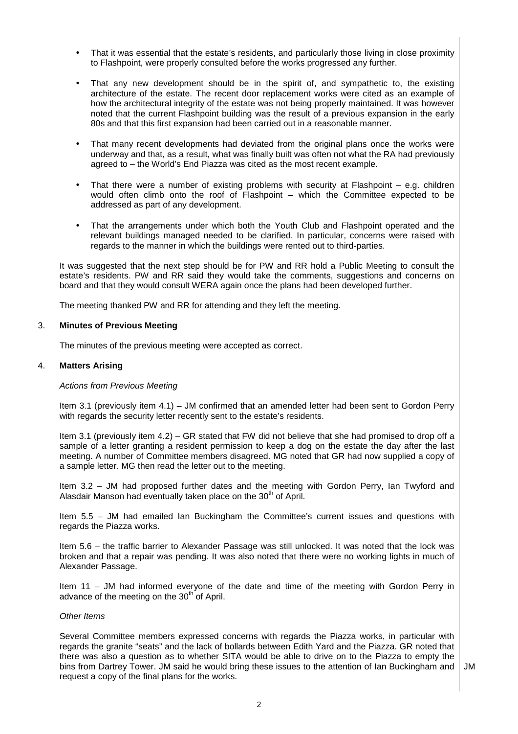- That it was essential that the estate's residents, and particularly those living in close proximity to Flashpoint, were properly consulted before the works progressed any further.
- That any new development should be in the spirit of, and sympathetic to, the existing architecture of the estate. The recent door replacement works were cited as an example of how the architectural integrity of the estate was not being properly maintained. It was however noted that the current Flashpoint building was the result of a previous expansion in the early 80s and that this first expansion had been carried out in a reasonable manner.
- That many recent developments had deviated from the original plans once the works were underway and that, as a result, what was finally built was often not what the RA had previously agreed to – the World's End Piazza was cited as the most recent example.
- That there were a number of existing problems with security at Flashpoint  $-$  e.g. children would often climb onto the roof of Flashpoint – which the Committee expected to be addressed as part of any development.
- That the arrangements under which both the Youth Club and Flashpoint operated and the relevant buildings managed needed to be clarified. In particular, concerns were raised with regards to the manner in which the buildings were rented out to third-parties.

It was suggested that the next step should be for PW and RR hold a Public Meeting to consult the estate's residents. PW and RR said they would take the comments, suggestions and concerns on board and that they would consult WERA again once the plans had been developed further.

The meeting thanked PW and RR for attending and they left the meeting.

## 3. **Minutes of Previous Meeting**

The minutes of the previous meeting were accepted as correct.

# 4. **Matters Arising**

## Actions from Previous Meeting

Item 3.1 (previously item 4.1) – JM confirmed that an amended letter had been sent to Gordon Perry with regards the security letter recently sent to the estate's residents.

Item 3.1 (previously item 4.2) – GR stated that FW did not believe that she had promised to drop off a sample of a letter granting a resident permission to keep a dog on the estate the day after the last meeting. A number of Committee members disagreed. MG noted that GR had now supplied a copy of a sample letter. MG then read the letter out to the meeting.

Item 3.2 – JM had proposed further dates and the meeting with Gordon Perry, Ian Twyford and Alasdair Manson had eventually taken place on the 30<sup>th</sup> of April.

Item 5.5 – JM had emailed Ian Buckingham the Committee's current issues and questions with regards the Piazza works.

Item 5.6 – the traffic barrier to Alexander Passage was still unlocked. It was noted that the lock was broken and that a repair was pending. It was also noted that there were no working lights in much of Alexander Passage.

Item 11 – JM had informed everyone of the date and time of the meeting with Gordon Perry in advance of the meeting on the  $30<sup>th</sup>$  of April.

#### Other Items

Several Committee members expressed concerns with regards the Piazza works, in particular with regards the granite "seats" and the lack of bollards between Edith Yard and the Piazza. GR noted that there was also a question as to whether SITA would be able to drive on to the Piazza to empty the bins from Dartrey Tower. JM said he would bring these issues to the attention of Ian Buckingham and request a copy of the final plans for the works.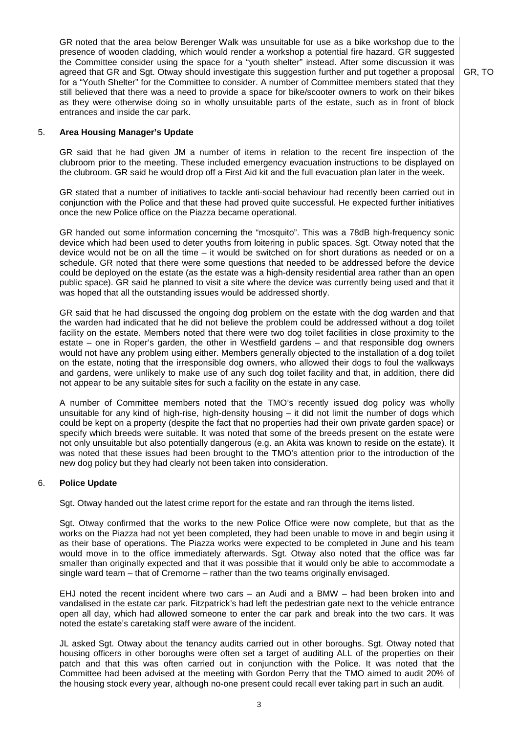GR noted that the area below Berenger Walk was unsuitable for use as a bike workshop due to the presence of wooden cladding, which would render a workshop a potential fire hazard. GR suggested the Committee consider using the space for a "youth shelter" instead. After some discussion it was agreed that GR and Sgt. Otway should investigate this suggestion further and put together a proposal for a "Youth Shelter" for the Committee to consider. A number of Committee members stated that they still believed that there was a need to provide a space for bike/scooter owners to work on their bikes as they were otherwise doing so in wholly unsuitable parts of the estate, such as in front of block entrances and inside the car park.

GR, TO

## 5. **Area Housing Manager's Update**

GR said that he had given JM a number of items in relation to the recent fire inspection of the clubroom prior to the meeting. These included emergency evacuation instructions to be displayed on the clubroom. GR said he would drop off a First Aid kit and the full evacuation plan later in the week.

GR stated that a number of initiatives to tackle anti-social behaviour had recently been carried out in conjunction with the Police and that these had proved quite successful. He expected further initiatives once the new Police office on the Piazza became operational.

GR handed out some information concerning the "mosquito". This was a 78dB high-frequency sonic device which had been used to deter youths from loitering in public spaces. Sgt. Otway noted that the device would not be on all the time – it would be switched on for short durations as needed or on a schedule. GR noted that there were some questions that needed to be addressed before the device could be deployed on the estate (as the estate was a high-density residential area rather than an open public space). GR said he planned to visit a site where the device was currently being used and that it was hoped that all the outstanding issues would be addressed shortly.

GR said that he had discussed the ongoing dog problem on the estate with the dog warden and that the warden had indicated that he did not believe the problem could be addressed without a dog toilet facility on the estate. Members noted that there were two dog toilet facilities in close proximity to the estate – one in Roper's garden, the other in Westfield gardens – and that responsible dog owners would not have any problem using either. Members generally objected to the installation of a dog toilet on the estate, noting that the irresponsible dog owners, who allowed their dogs to foul the walkways and gardens, were unlikely to make use of any such dog toilet facility and that, in addition, there did not appear to be any suitable sites for such a facility on the estate in any case.

A number of Committee members noted that the TMO's recently issued dog policy was wholly unsuitable for any kind of high-rise, high-density housing – it did not limit the number of dogs which could be kept on a property (despite the fact that no properties had their own private garden space) or specify which breeds were suitable. It was noted that some of the breeds present on the estate were not only unsuitable but also potentially dangerous (e.g. an Akita was known to reside on the estate). It was noted that these issues had been brought to the TMO's attention prior to the introduction of the new dog policy but they had clearly not been taken into consideration.

#### 6. **Police Update**

Sgt. Otway handed out the latest crime report for the estate and ran through the items listed.

Sgt. Otway confirmed that the works to the new Police Office were now complete, but that as the works on the Piazza had not yet been completed, they had been unable to move in and begin using it as their base of operations. The Piazza works were expected to be completed in June and his team would move in to the office immediately afterwards. Sgt. Otway also noted that the office was far smaller than originally expected and that it was possible that it would only be able to accommodate a single ward team – that of Cremorne – rather than the two teams originally envisaged.

EHJ noted the recent incident where two cars – an Audi and a BMW – had been broken into and vandalised in the estate car park. Fitzpatrick's had left the pedestrian gate next to the vehicle entrance open all day, which had allowed someone to enter the car park and break into the two cars. It was noted the estate's caretaking staff were aware of the incident.

JL asked Sgt. Otway about the tenancy audits carried out in other boroughs. Sgt. Otway noted that housing officers in other boroughs were often set a target of auditing ALL of the properties on their patch and that this was often carried out in conjunction with the Police. It was noted that the Committee had been advised at the meeting with Gordon Perry that the TMO aimed to audit 20% of the housing stock every year, although no-one present could recall ever taking part in such an audit.